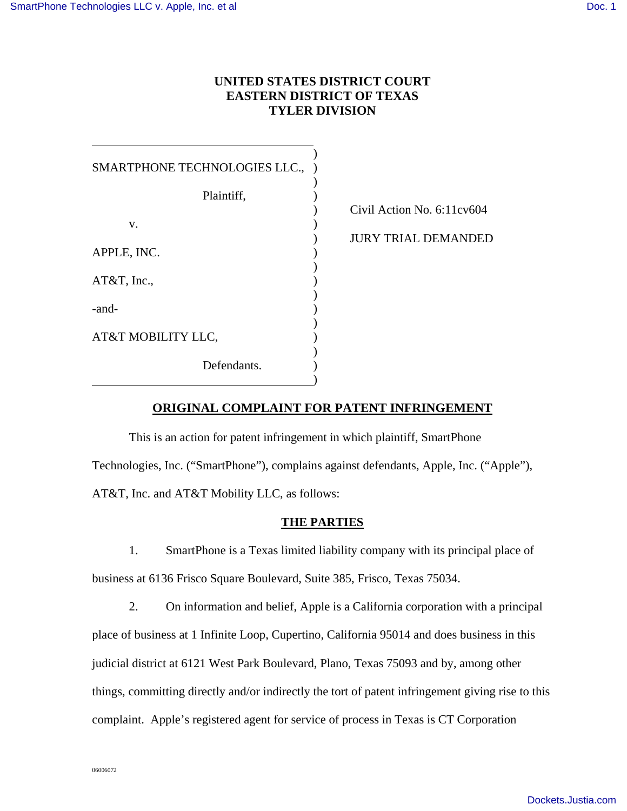l

## **UNITED STATES DISTRICT COURT EASTERN DISTRICT OF TEXAS TYLER DIVISION**

| SMARTPHONE TECHNOLOGIES LLC., |  |
|-------------------------------|--|
|                               |  |
| Plaintiff,                    |  |
| v.                            |  |
| APPLE, INC.                   |  |
| $AT&T$ , Inc.,                |  |
| -and-                         |  |
| AT&T MOBILITY LLC,            |  |
| Defendants.                   |  |

) Civil Action No. 6:11cv604

) JURY TRIAL DEMANDED

# **ORIGINAL COMPLAINT FOR PATENT INFRINGEMENT**

This is an action for patent infringement in which plaintiff, SmartPhone Technologies, Inc. ("SmartPhone"), complains against defendants, Apple, Inc. ("Apple"), AT&T, Inc. and AT&T Mobility LLC, as follows:

## **THE PARTIES**

1. SmartPhone is a Texas limited liability company with its principal place of business at 6136 Frisco Square Boulevard, Suite 385, Frisco, Texas 75034.

2. On information and belief, Apple is a California corporation with a principal place of business at 1 Infinite Loop, Cupertino, California 95014 and does business in this judicial district at 6121 West Park Boulevard, Plano, Texas 75093 and by, among other things, committing directly and/or indirectly the tort of patent infringement giving rise to this complaint. Apple's registered agent for service of process in Texas is CT Corporation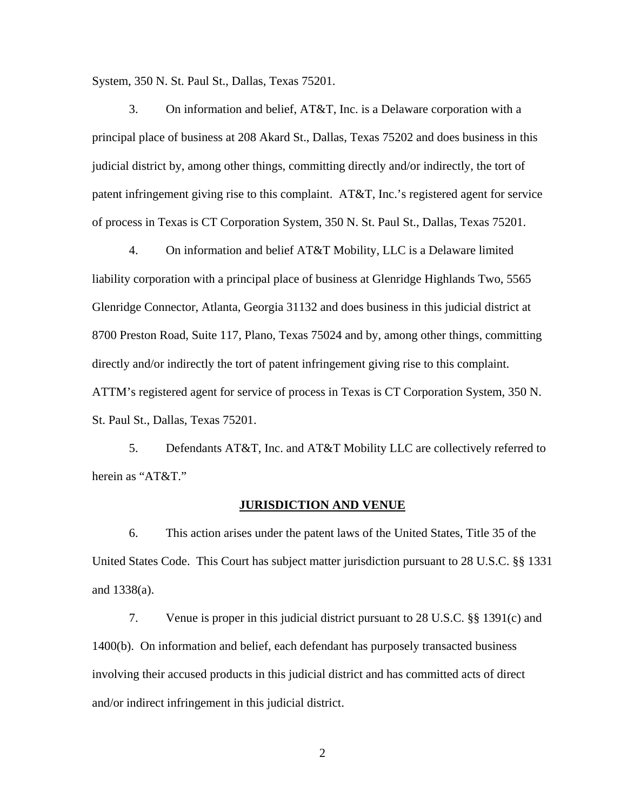System, 350 N. St. Paul St., Dallas, Texas 75201.

3. On information and belief, AT&T, Inc. is a Delaware corporation with a principal place of business at 208 Akard St., Dallas, Texas 75202 and does business in this judicial district by, among other things, committing directly and/or indirectly, the tort of patent infringement giving rise to this complaint. AT&T, Inc.'s registered agent for service of process in Texas is CT Corporation System, 350 N. St. Paul St., Dallas, Texas 75201.

4. On information and belief AT&T Mobility, LLC is a Delaware limited liability corporation with a principal place of business at Glenridge Highlands Two, 5565 Glenridge Connector, Atlanta, Georgia 31132 and does business in this judicial district at 8700 Preston Road, Suite 117, Plano, Texas 75024 and by, among other things, committing directly and/or indirectly the tort of patent infringement giving rise to this complaint. ATTM's registered agent for service of process in Texas is CT Corporation System, 350 N. St. Paul St., Dallas, Texas 75201.

5. Defendants AT&T, Inc. and AT&T Mobility LLC are collectively referred to herein as "AT&T."

#### **JURISDICTION AND VENUE**

6. This action arises under the patent laws of the United States, Title 35 of the United States Code. This Court has subject matter jurisdiction pursuant to 28 U.S.C. §§ 1331 and 1338(a).

7. Venue is proper in this judicial district pursuant to 28 U.S.C. §§ 1391(c) and 1400(b). On information and belief, each defendant has purposely transacted business involving their accused products in this judicial district and has committed acts of direct and/or indirect infringement in this judicial district.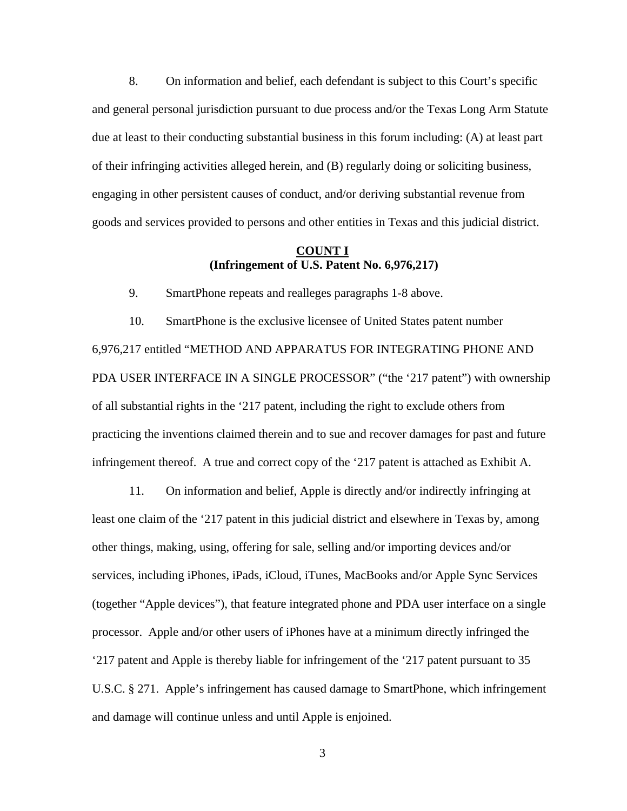8. On information and belief, each defendant is subject to this Court's specific and general personal jurisdiction pursuant to due process and/or the Texas Long Arm Statute due at least to their conducting substantial business in this forum including: (A) at least part of their infringing activities alleged herein, and (B) regularly doing or soliciting business, engaging in other persistent causes of conduct, and/or deriving substantial revenue from goods and services provided to persons and other entities in Texas and this judicial district.

#### **COUNT I (Infringement of U.S. Patent No. 6,976,217)**

9. SmartPhone repeats and realleges paragraphs 1-8 above.

10. SmartPhone is the exclusive licensee of United States patent number 6,976,217 entitled "METHOD AND APPARATUS FOR INTEGRATING PHONE AND PDA USER INTERFACE IN A SINGLE PROCESSOR" ("the '217 patent") with ownership of all substantial rights in the '217 patent, including the right to exclude others from practicing the inventions claimed therein and to sue and recover damages for past and future infringement thereof. A true and correct copy of the '217 patent is attached as Exhibit A.

11. On information and belief, Apple is directly and/or indirectly infringing at least one claim of the '217 patent in this judicial district and elsewhere in Texas by, among other things, making, using, offering for sale, selling and/or importing devices and/or services, including iPhones, iPads, iCloud, iTunes, MacBooks and/or Apple Sync Services (together "Apple devices"), that feature integrated phone and PDA user interface on a single processor. Apple and/or other users of iPhones have at a minimum directly infringed the '217 patent and Apple is thereby liable for infringement of the '217 patent pursuant to 35 U.S.C. § 271. Apple's infringement has caused damage to SmartPhone, which infringement and damage will continue unless and until Apple is enjoined.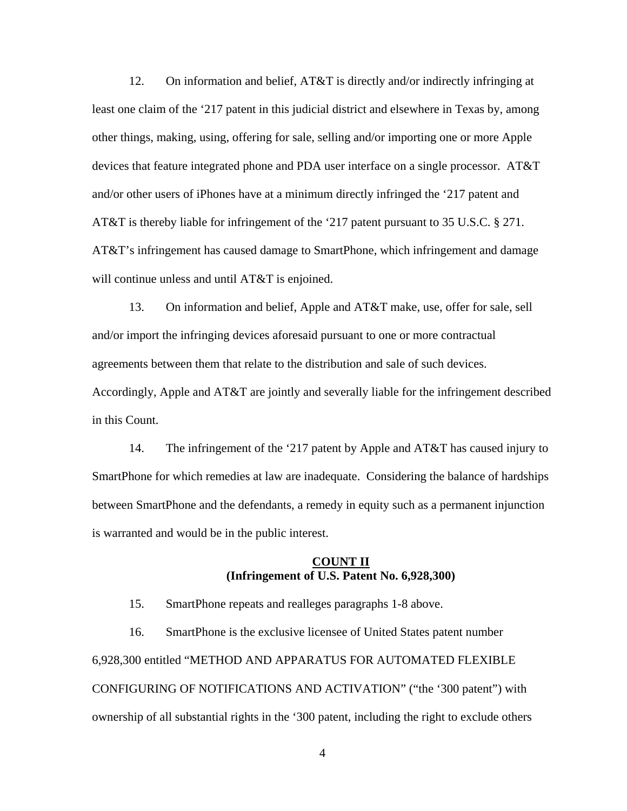12. On information and belief, AT&T is directly and/or indirectly infringing at least one claim of the '217 patent in this judicial district and elsewhere in Texas by, among other things, making, using, offering for sale, selling and/or importing one or more Apple devices that feature integrated phone and PDA user interface on a single processor. AT&T and/or other users of iPhones have at a minimum directly infringed the '217 patent and AT&T is thereby liable for infringement of the '217 patent pursuant to 35 U.S.C. § 271. AT&T's infringement has caused damage to SmartPhone, which infringement and damage will continue unless and until AT&T is enjoined.

13. On information and belief, Apple and AT&T make, use, offer for sale, sell and/or import the infringing devices aforesaid pursuant to one or more contractual agreements between them that relate to the distribution and sale of such devices. Accordingly, Apple and AT&T are jointly and severally liable for the infringement described in this Count.

14. The infringement of the '217 patent by Apple and AT&T has caused injury to SmartPhone for which remedies at law are inadequate. Considering the balance of hardships between SmartPhone and the defendants, a remedy in equity such as a permanent injunction is warranted and would be in the public interest.

### **COUNT II (Infringement of U.S. Patent No. 6,928,300)**

15. SmartPhone repeats and realleges paragraphs 1-8 above.

16. SmartPhone is the exclusive licensee of United States patent number 6,928,300 entitled "METHOD AND APPARATUS FOR AUTOMATED FLEXIBLE CONFIGURING OF NOTIFICATIONS AND ACTIVATION" ("the '300 patent") with ownership of all substantial rights in the '300 patent, including the right to exclude others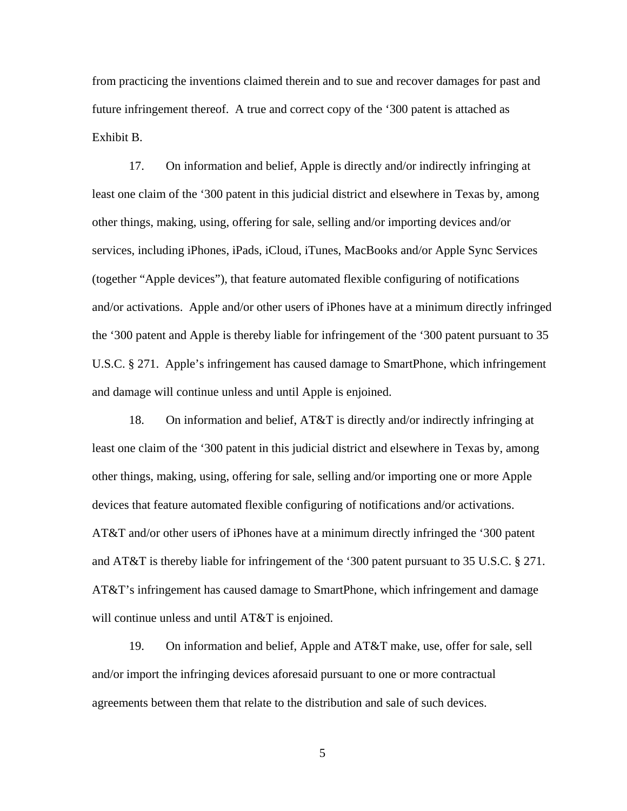from practicing the inventions claimed therein and to sue and recover damages for past and future infringement thereof. A true and correct copy of the '300 patent is attached as Exhibit B.

17. On information and belief, Apple is directly and/or indirectly infringing at least one claim of the '300 patent in this judicial district and elsewhere in Texas by, among other things, making, using, offering for sale, selling and/or importing devices and/or services, including iPhones, iPads, iCloud, iTunes, MacBooks and/or Apple Sync Services (together "Apple devices"), that feature automated flexible configuring of notifications and/or activations. Apple and/or other users of iPhones have at a minimum directly infringed the '300 patent and Apple is thereby liable for infringement of the '300 patent pursuant to 35 U.S.C. § 271. Apple's infringement has caused damage to SmartPhone, which infringement and damage will continue unless and until Apple is enjoined.

18. On information and belief, AT&T is directly and/or indirectly infringing at least one claim of the '300 patent in this judicial district and elsewhere in Texas by, among other things, making, using, offering for sale, selling and/or importing one or more Apple devices that feature automated flexible configuring of notifications and/or activations. AT&T and/or other users of iPhones have at a minimum directly infringed the '300 patent and AT&T is thereby liable for infringement of the '300 patent pursuant to 35 U.S.C. § 271. AT&T's infringement has caused damage to SmartPhone, which infringement and damage will continue unless and until AT&T is enjoined.

19. On information and belief, Apple and AT&T make, use, offer for sale, sell and/or import the infringing devices aforesaid pursuant to one or more contractual agreements between them that relate to the distribution and sale of such devices.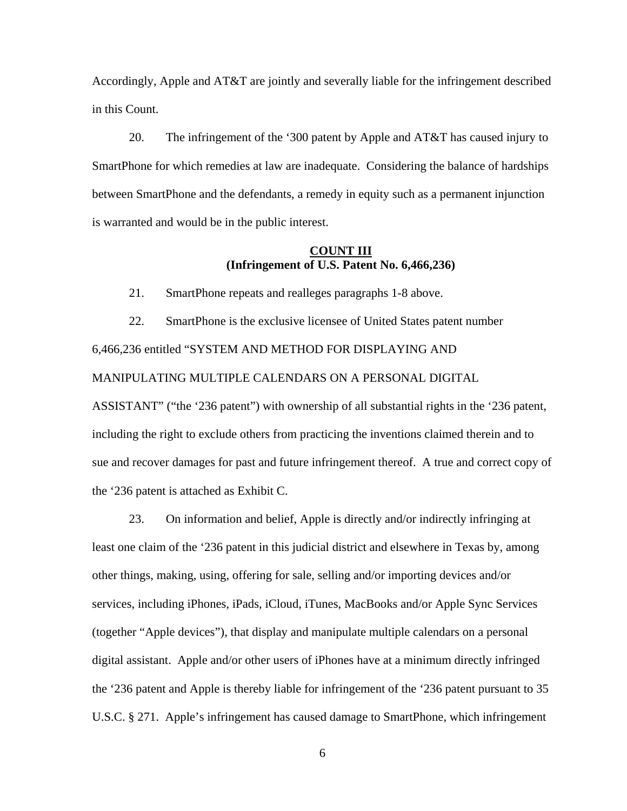Accordingly, Apple and AT&T are jointly and severally liable for the infringement described in this Count.

20. The infringement of the '300 patent by Apple and AT&T has caused injury to SmartPhone for which remedies at law are inadequate. Considering the balance of hardships between SmartPhone and the defendants, a remedy in equity such as a permanent injunction is warranted and would be in the public interest.

### **COUNT III (Infringement of U.S. Patent No. 6,466,236)**

21. SmartPhone repeats and realleges paragraphs 1-8 above.

22. SmartPhone is the exclusive licensee of United States patent number 6,466,236 entitled "SYSTEM AND METHOD FOR DISPLAYING AND MANIPULATING MULTIPLE CALENDARS ON A PERSONAL DIGITAL

ASSISTANT" ("the '236 patent") with ownership of all substantial rights in the '236 patent, including the right to exclude others from practicing the inventions claimed therein and to sue and recover damages for past and future infringement thereof. A true and correct copy of the '236 patent is attached as Exhibit C.

23. On information and belief, Apple is directly and/or indirectly infringing at least one claim of the '236 patent in this judicial district and elsewhere in Texas by, among other things, making, using, offering for sale, selling and/or importing devices and/or services, including iPhones, iPads, iCloud, iTunes, MacBooks and/or Apple Sync Services (together "Apple devices"), that display and manipulate multiple calendars on a personal digital assistant. Apple and/or other users of iPhones have at a minimum directly infringed the '236 patent and Apple is thereby liable for infringement of the '236 patent pursuant to 35 U.S.C. § 271. Apple's infringement has caused damage to SmartPhone, which infringement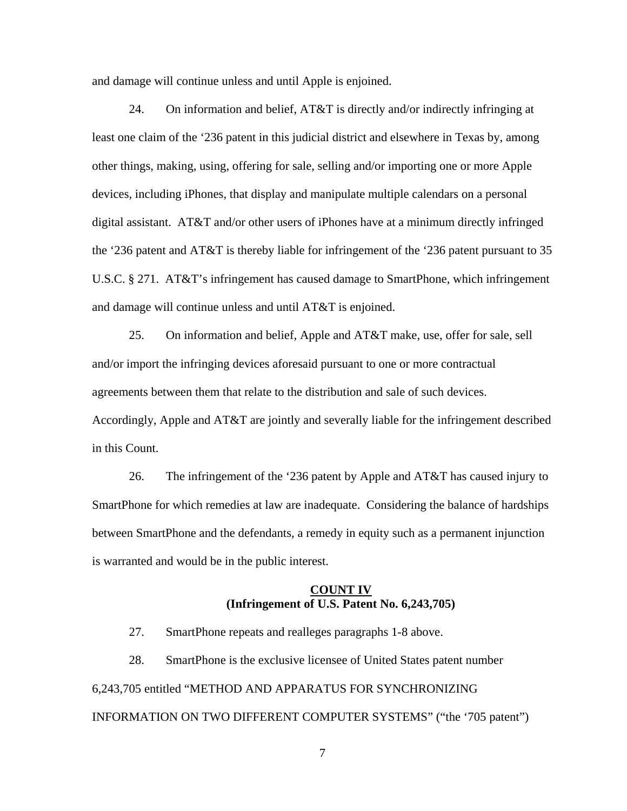and damage will continue unless and until Apple is enjoined.

24. On information and belief, AT&T is directly and/or indirectly infringing at least one claim of the '236 patent in this judicial district and elsewhere in Texas by, among other things, making, using, offering for sale, selling and/or importing one or more Apple devices, including iPhones, that display and manipulate multiple calendars on a personal digital assistant. AT&T and/or other users of iPhones have at a minimum directly infringed the '236 patent and AT&T is thereby liable for infringement of the '236 patent pursuant to 35 U.S.C. § 271. AT&T's infringement has caused damage to SmartPhone, which infringement and damage will continue unless and until AT&T is enjoined.

25. On information and belief, Apple and AT&T make, use, offer for sale, sell and/or import the infringing devices aforesaid pursuant to one or more contractual agreements between them that relate to the distribution and sale of such devices. Accordingly, Apple and AT&T are jointly and severally liable for the infringement described in this Count.

26. The infringement of the '236 patent by Apple and AT&T has caused injury to SmartPhone for which remedies at law are inadequate. Considering the balance of hardships between SmartPhone and the defendants, a remedy in equity such as a permanent injunction is warranted and would be in the public interest.

### **COUNT IV (Infringement of U.S. Patent No. 6,243,705)**

27. SmartPhone repeats and realleges paragraphs 1-8 above.

28. SmartPhone is the exclusive licensee of United States patent number 6,243,705 entitled "METHOD AND APPARATUS FOR SYNCHRONIZING INFORMATION ON TWO DIFFERENT COMPUTER SYSTEMS" ("the '705 patent")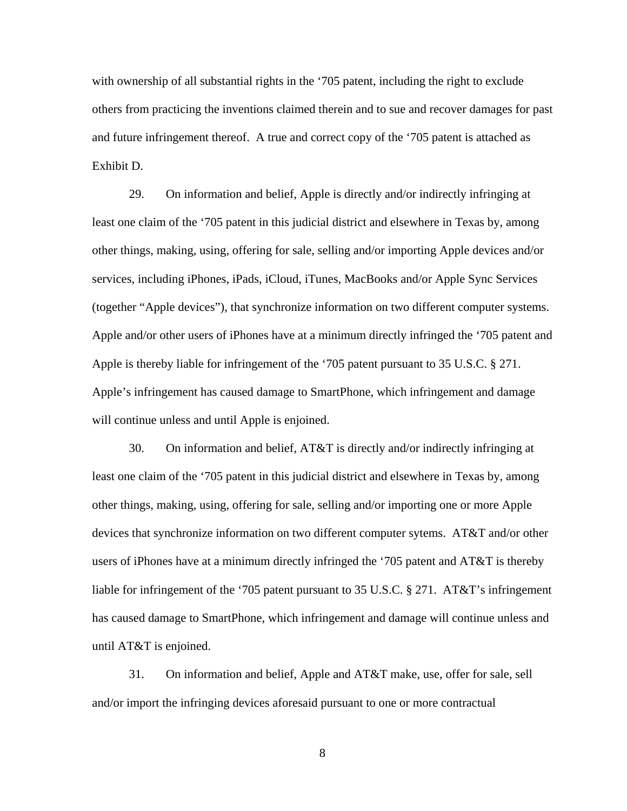with ownership of all substantial rights in the '705 patent, including the right to exclude others from practicing the inventions claimed therein and to sue and recover damages for past and future infringement thereof. A true and correct copy of the '705 patent is attached as Exhibit D.

29. On information and belief, Apple is directly and/or indirectly infringing at least one claim of the '705 patent in this judicial district and elsewhere in Texas by, among other things, making, using, offering for sale, selling and/or importing Apple devices and/or services, including iPhones, iPads, iCloud, iTunes, MacBooks and/or Apple Sync Services (together "Apple devices"), that synchronize information on two different computer systems. Apple and/or other users of iPhones have at a minimum directly infringed the '705 patent and Apple is thereby liable for infringement of the '705 patent pursuant to 35 U.S.C. § 271. Apple's infringement has caused damage to SmartPhone, which infringement and damage will continue unless and until Apple is enjoined.

30. On information and belief, AT&T is directly and/or indirectly infringing at least one claim of the '705 patent in this judicial district and elsewhere in Texas by, among other things, making, using, offering for sale, selling and/or importing one or more Apple devices that synchronize information on two different computer sytems. AT&T and/or other users of iPhones have at a minimum directly infringed the '705 patent and AT&T is thereby liable for infringement of the '705 patent pursuant to 35 U.S.C. § 271. AT&T's infringement has caused damage to SmartPhone, which infringement and damage will continue unless and until AT&T is enjoined.

31. On information and belief, Apple and AT&T make, use, offer for sale, sell and/or import the infringing devices aforesaid pursuant to one or more contractual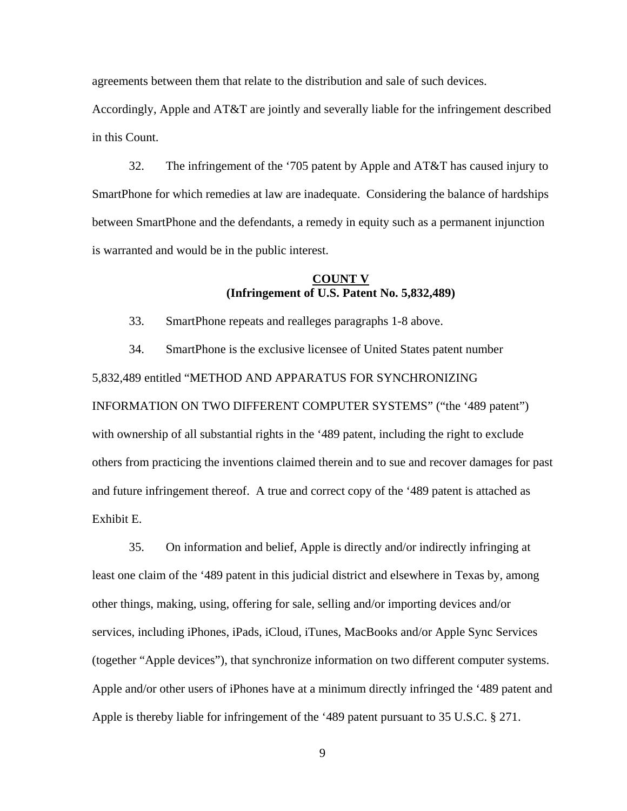agreements between them that relate to the distribution and sale of such devices.

Accordingly, Apple and AT&T are jointly and severally liable for the infringement described in this Count.

32. The infringement of the '705 patent by Apple and AT&T has caused injury to SmartPhone for which remedies at law are inadequate. Considering the balance of hardships between SmartPhone and the defendants, a remedy in equity such as a permanent injunction is warranted and would be in the public interest.

## **COUNT V (Infringement of U.S. Patent No. 5,832,489)**

33. SmartPhone repeats and realleges paragraphs 1-8 above.

34. SmartPhone is the exclusive licensee of United States patent number 5,832,489 entitled "METHOD AND APPARATUS FOR SYNCHRONIZING INFORMATION ON TWO DIFFERENT COMPUTER SYSTEMS" ("the '489 patent") with ownership of all substantial rights in the '489 patent, including the right to exclude others from practicing the inventions claimed therein and to sue and recover damages for past and future infringement thereof. A true and correct copy of the '489 patent is attached as Exhibit E.

35. On information and belief, Apple is directly and/or indirectly infringing at least one claim of the '489 patent in this judicial district and elsewhere in Texas by, among other things, making, using, offering for sale, selling and/or importing devices and/or services, including iPhones, iPads, iCloud, iTunes, MacBooks and/or Apple Sync Services (together "Apple devices"), that synchronize information on two different computer systems. Apple and/or other users of iPhones have at a minimum directly infringed the '489 patent and Apple is thereby liable for infringement of the '489 patent pursuant to 35 U.S.C. § 271.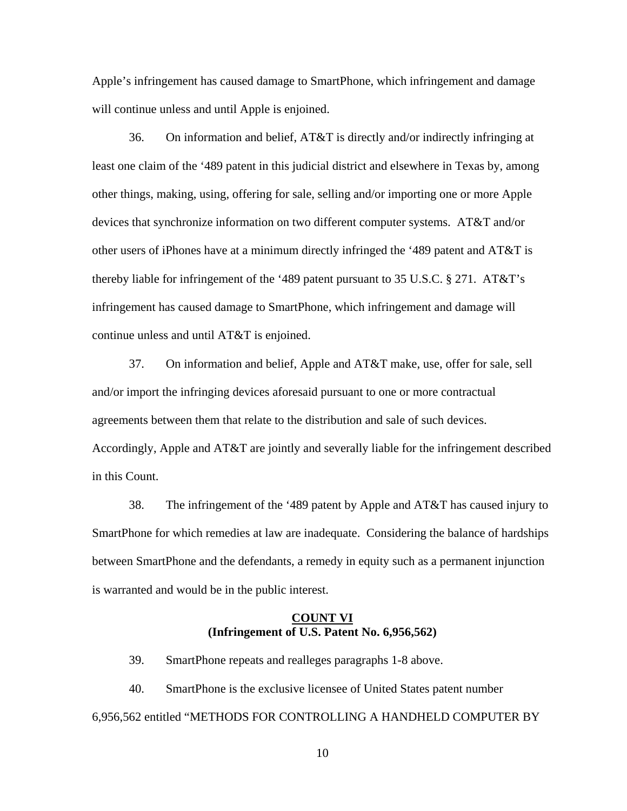Apple's infringement has caused damage to SmartPhone, which infringement and damage will continue unless and until Apple is enjoined.

36. On information and belief, AT&T is directly and/or indirectly infringing at least one claim of the '489 patent in this judicial district and elsewhere in Texas by, among other things, making, using, offering for sale, selling and/or importing one or more Apple devices that synchronize information on two different computer systems. AT&T and/or other users of iPhones have at a minimum directly infringed the '489 patent and AT&T is thereby liable for infringement of the '489 patent pursuant to 35 U.S.C. § 271. AT&T's infringement has caused damage to SmartPhone, which infringement and damage will continue unless and until AT&T is enjoined.

37. On information and belief, Apple and AT&T make, use, offer for sale, sell and/or import the infringing devices aforesaid pursuant to one or more contractual agreements between them that relate to the distribution and sale of such devices. Accordingly, Apple and AT&T are jointly and severally liable for the infringement described in this Count.

38. The infringement of the '489 patent by Apple and AT&T has caused injury to SmartPhone for which remedies at law are inadequate. Considering the balance of hardships between SmartPhone and the defendants, a remedy in equity such as a permanent injunction is warranted and would be in the public interest.

#### **COUNT VI (Infringement of U.S. Patent No. 6,956,562)**

39. SmartPhone repeats and realleges paragraphs 1-8 above.

40. SmartPhone is the exclusive licensee of United States patent number 6,956,562 entitled "METHODS FOR CONTROLLING A HANDHELD COMPUTER BY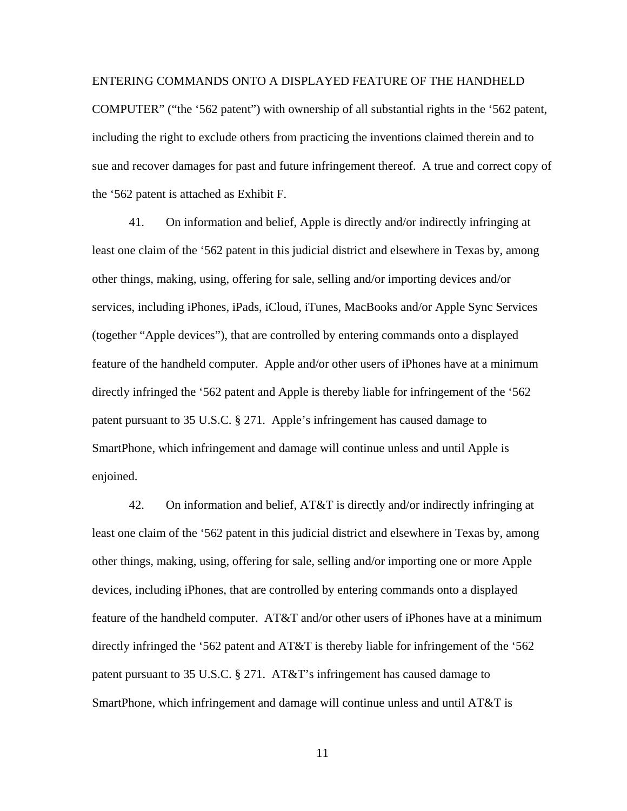#### ENTERING COMMANDS ONTO A DISPLAYED FEATURE OF THE HANDHELD

COMPUTER" ("the '562 patent") with ownership of all substantial rights in the '562 patent, including the right to exclude others from practicing the inventions claimed therein and to sue and recover damages for past and future infringement thereof. A true and correct copy of the '562 patent is attached as Exhibit F.

41. On information and belief, Apple is directly and/or indirectly infringing at least one claim of the '562 patent in this judicial district and elsewhere in Texas by, among other things, making, using, offering for sale, selling and/or importing devices and/or services, including iPhones, iPads, iCloud, iTunes, MacBooks and/or Apple Sync Services (together "Apple devices"), that are controlled by entering commands onto a displayed feature of the handheld computer. Apple and/or other users of iPhones have at a minimum directly infringed the '562 patent and Apple is thereby liable for infringement of the '562 patent pursuant to 35 U.S.C. § 271. Apple's infringement has caused damage to SmartPhone, which infringement and damage will continue unless and until Apple is enjoined.

42. On information and belief, AT&T is directly and/or indirectly infringing at least one claim of the '562 patent in this judicial district and elsewhere in Texas by, among other things, making, using, offering for sale, selling and/or importing one or more Apple devices, including iPhones, that are controlled by entering commands onto a displayed feature of the handheld computer. AT&T and/or other users of iPhones have at a minimum directly infringed the '562 patent and AT&T is thereby liable for infringement of the '562 patent pursuant to 35 U.S.C. § 271. AT&T's infringement has caused damage to SmartPhone, which infringement and damage will continue unless and until AT&T is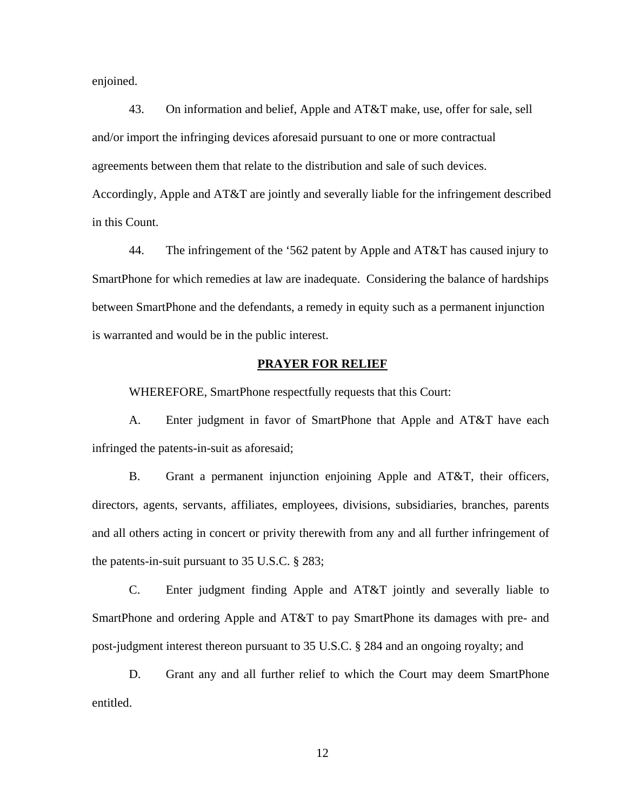enjoined.

43. On information and belief, Apple and AT&T make, use, offer for sale, sell and/or import the infringing devices aforesaid pursuant to one or more contractual agreements between them that relate to the distribution and sale of such devices. Accordingly, Apple and AT&T are jointly and severally liable for the infringement described in this Count.

44. The infringement of the '562 patent by Apple and AT&T has caused injury to SmartPhone for which remedies at law are inadequate. Considering the balance of hardships between SmartPhone and the defendants, a remedy in equity such as a permanent injunction is warranted and would be in the public interest.

#### **PRAYER FOR RELIEF**

WHEREFORE, SmartPhone respectfully requests that this Court:

A. Enter judgment in favor of SmartPhone that Apple and AT&T have each infringed the patents-in-suit as aforesaid;

B. Grant a permanent injunction enjoining Apple and AT&T, their officers, directors, agents, servants, affiliates, employees, divisions, subsidiaries, branches, parents and all others acting in concert or privity therewith from any and all further infringement of the patents-in-suit pursuant to 35 U.S.C. § 283;

C. Enter judgment finding Apple and AT&T jointly and severally liable to SmartPhone and ordering Apple and AT&T to pay SmartPhone its damages with pre- and post-judgment interest thereon pursuant to 35 U.S.C. § 284 and an ongoing royalty; and

D. Grant any and all further relief to which the Court may deem SmartPhone entitled.